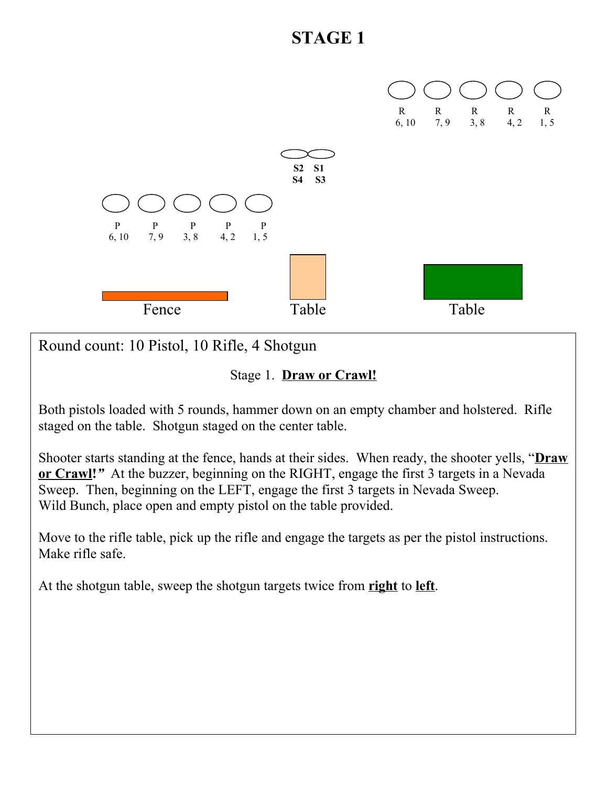

Round count: 10 Pistol, 10 Rifle, 4 Shotgun

Stage 1. **Draw or Crawl!**

Both pistols loaded with 5 rounds, hammer down on an empty chamber and holstered. Rifle staged on the table. Shotgun staged on the center table.

Shooter starts standing at the fence, hands at their sides. When ready, the shooter yells, "**Draw or Crawl!***"* At the buzzer, beginning on the RIGHT, engage the first 3 targets in a Nevada Sweep. Then, beginning on the LEFT, engage the first 3 targets in Nevada Sweep. Wild Bunch, place open and empty pistol on the table provided.

Move to the rifle table, pick up the rifle and engage the targets as per the pistol instructions. Make rifle safe.

At the shotgun table, sweep the shotgun targets twice from **right** to **left**.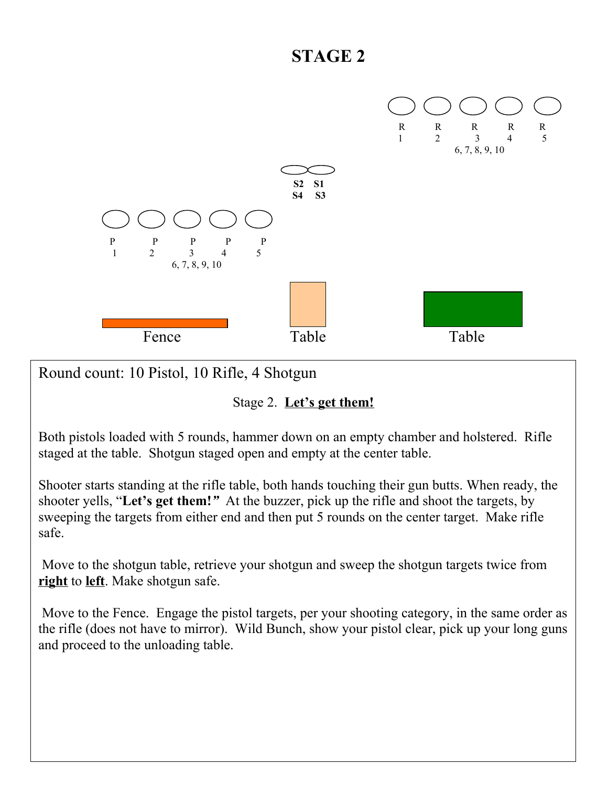

Round count: 10 Pistol, 10 Rifle, 4 Shotgun

#### Stage 2. **Let's get them!**

Both pistols loaded with 5 rounds, hammer down on an empty chamber and holstered. Rifle staged at the table. Shotgun staged open and empty at the center table.

Shooter starts standing at the rifle table, both hands touching their gun butts. When ready, the shooter yells, "**Let's get them!***"* At the buzzer, pick up the rifle and shoot the targets, by sweeping the targets from either end and then put 5 rounds on the center target. Make rifle safe.

 Move to the shotgun table, retrieve your shotgun and sweep the shotgun targets twice from **right** to **left**. Make shotgun safe.

 Move to the Fence. Engage the pistol targets, per your shooting category, in the same order as the rifle (does not have to mirror). Wild Bunch, show your pistol clear, pick up your long guns and proceed to the unloading table.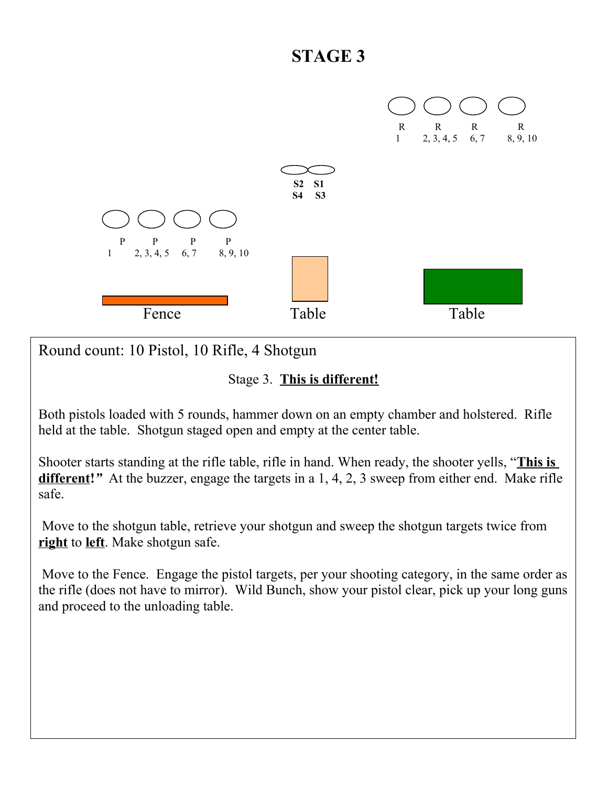

Round count: 10 Pistol, 10 Rifle, 4 Shotgun

#### Stage 3. **This is different!**

Both pistols loaded with 5 rounds, hammer down on an empty chamber and holstered. Rifle held at the table. Shotgun staged open and empty at the center table.

Shooter starts standing at the rifle table, rifle in hand. When ready, the shooter yells, "**This is different!***"* At the buzzer, engage the targets in a 1, 4, 2, 3 sweep from either end. Make rifle safe.

 Move to the shotgun table, retrieve your shotgun and sweep the shotgun targets twice from **right** to **left**. Make shotgun safe.

 Move to the Fence. Engage the pistol targets, per your shooting category, in the same order as the rifle (does not have to mirror). Wild Bunch, show your pistol clear, pick up your long guns and proceed to the unloading table.